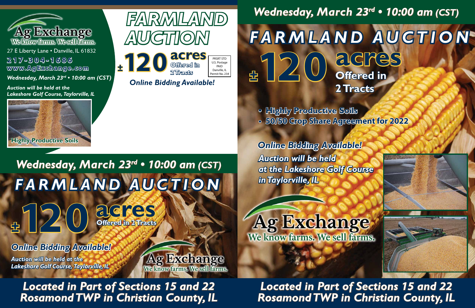**<sup>±</sup>120 Offered in**

**Offered in 2 Tracts**



## *Wednesday, March 23rd • 10:00 am (CST)* **acres** *FARMLAND AUCTION* **<sup>±</sup>120**



27 E Liberty Lane . Danville, IL 61832 **www.AgExchange.com 217-304-1686**

> *Rosamond TWP in Christian County, IL Located in Part of Sections 15 and 22*



*Wednesday, March 23rd • 10:00 am (CST)*



**Ag Exchange** 

We know farms. We sell farms.

*Auction will be held at the Lakeshore Golf Course, Taylorville, IL*

### *Wednesday, March 23rd • 10:00 am (CST)*

*Rosamond TWP in Christian County, IL Located in Part of Sections 15 and 22*

**<sup>±</sup>120 acres**

## **Offered in 2 Tracts** *FARMLAND AUCTION*





*Auction will be held at the Lakeshore Golf Course in Taylorville, IL Online Bidding Available!* 

Ag Exchange

*Auction will be held at the Lakeshore Golf Course, Taylorville, IL*  **• Highly Productive Soils • 50/50 Crop Share Agreement for 2022**

*Online Bidding Available!* 

*Online Bidding Available!*